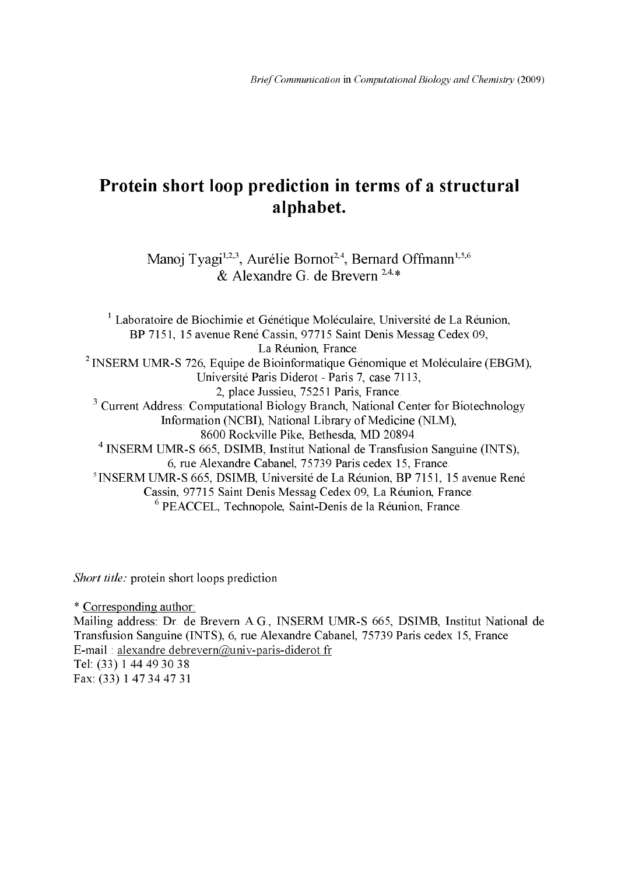# Protein short loop prediction in terms of a structural alphabet.

Manoj Tyagi<sup>1,2,3</sup>, Aurélie Bornot<sup>2,4</sup>, Bernard Offmann<sup>1,5,6</sup> & Alexandre G. de Brevern<sup>2,4,\*</sup>

 $1$  Laboratoire de Biochimie et Génétique Moléculaire, Université de La Réunion, BP 7151, 15 avenue René Cassin, 97715 Saint Denis Messag Cedex 09, La Réunion, France. <sup>2</sup> INSERM UMR-S 726, Equipe de Bioinformatique Génomique et Moléculaire (EBGM), Université Paris Diderot - Paris 7, case 7113, 2, place Jussieu, 75251 Paris, France. <sup>3</sup> Current Address: Computational Biology Branch, National Center for Biotechnology Information (NCBI), National Library of Medicine (NLM), 8600 Rockville Pike, Bethesda, MD 20894. <sup>4</sup> INSERM UMR-S 665, DSIMB, Institut National de Transfusion Sanguine (INTS), 6, rue Alexandre Cabanel, 75739 Paris cedex 15, France. <sup>5</sup> INSERM UMR-S 665, DSIMB, Université de La Réunion, BP 7151, 15 avenue René Cassin, 97715 Saint Denis Messag Cedex 09, La Réunion, France. PEACCEL, Technopole, Saint-Denis de la Réunion, France.

Short title: protein short loops prediction

\* Corresponding author: Mailing address: Dr. de Brevern A.G., INSERM UMR+S 665, DSIMB, Institut National de Transfusion Sanguine (INTS), 6, rue Alexandre Cabanel, 75739 Paris cedex 15, France E-mail : alexandre.debrevern@univ-paris-diderot.fr Tel: (33) 1 44 49 30 38 Fax: (33) 1 47 34 47 31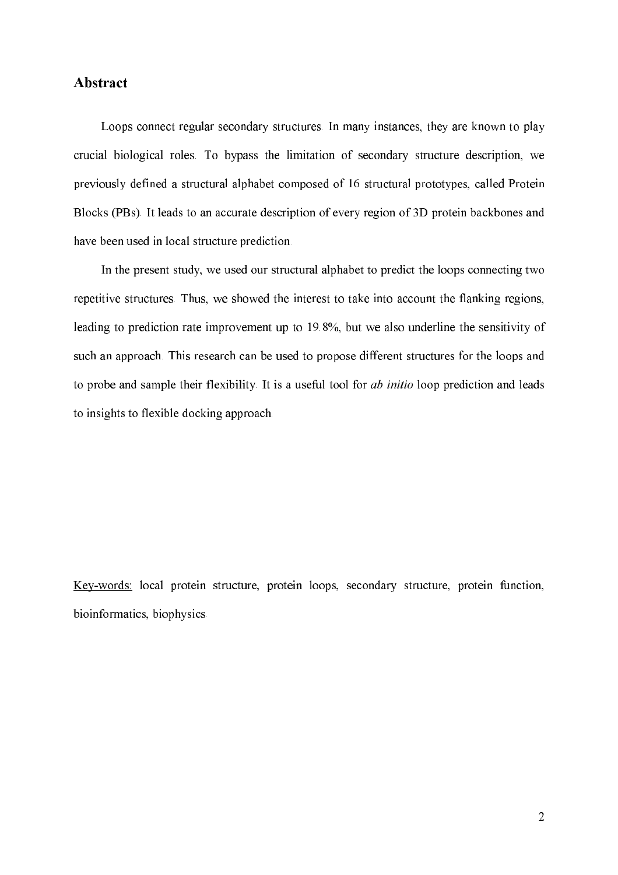### Abstract

Loops connect regular secondary structures. In many instances, they are known to play crucial biological roles. To bypass the limitation of secondary structure description, we previously defined a structural alphabet composed of 16 structural prototypes, called Protein Blocks (PBs). It leads to an accurate description of every region of 3D protein backbones and have been used in local structure prediction.

In the present study, we used our structural alphabet to predict the loops connecting two repetitive structures. Thus, we showed the interest to take into account the flanking regions, leading to prediction rate improvement up to 19.8%, but we also underline the sensitivity of such an approach. This research can be used to propose different structures for the loops and to probe and sample their flexibility. It is a useful tool for  $ab$  *initio* loop prediction and leads to insights to flexible docking approach.

Key+words: local protein structure, protein loops, secondary structure, protein function, bioinformatics, biophysics.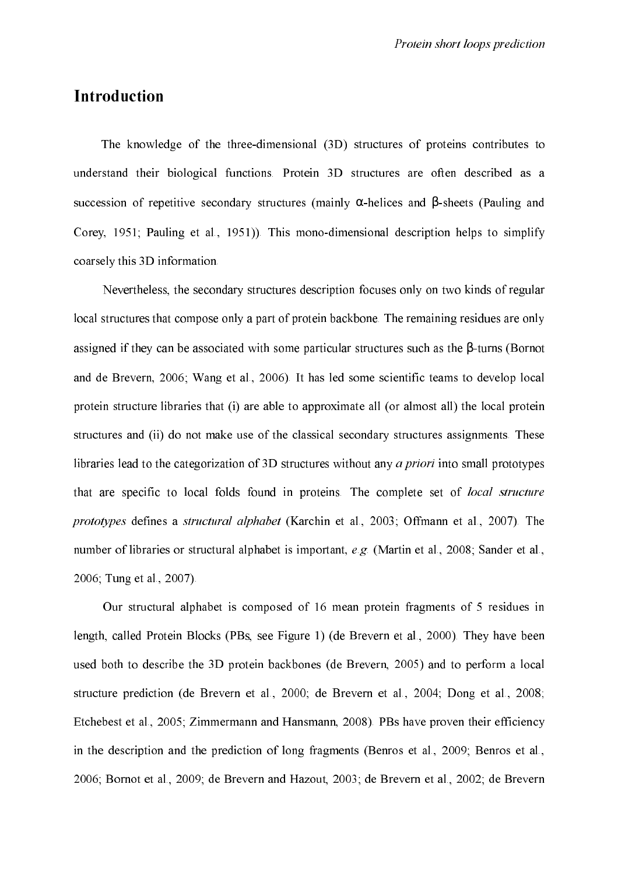## **Introduction**

The knowledge of the three-dimensional (3D) structures of proteins contributes to understand their biological functions. Protein 3D structures are often described as a succession of repetitive secondary structures (mainly  $\alpha$ -helices and  $\beta$ -sheets (Pauling and Corey, 1951; Pauling et al., 1951)). This mono-dimensional description helps to simplify coarsely this 3D information.

Nevertheless, the secondary structures description focuses only on two kinds of regular local structures that compose only a part of protein backbone. The remaining residues are only assigned if they can be associated with some particular structures such as the β+turns (Bornot and de Brevern, 2006; Wang et al., 2006). It has led some scientific teams to develop local protein structure libraries that (i) are able to approximate all (or almost all) the local protein structures and (ii) do not make use of the classical secondary structures assignments. These libraries lead to the categorization of 3D structures without any  $a$  priori into small prototypes that are specific to local folds found in proteins. The complete set of *local structure* prototypes defines a structural alphabet (Karchin et al., 2003; Offmann et al., 2007). The number of libraries or structural alphabet is important,  $e.g.$  (Martin et al., 2008; Sander et al., 2006; Tung et al., 2007).

Our structural alphabet is composed of 16 mean protein fragments of 5 residues in length, called Protein Blocks (PBs, see Figure 1) (de Brevern et al., 2000). They have been used both to describe the 3D protein backbones (de Brevern, 2005) and to perform a local structure prediction (de Brevern et al., 2000; de Brevern et al., 2004; Dong et al., 2008; Etchebest et al., 2005; Zimmermann and Hansmann, 2008). PBs have proven their efficiency in the description and the prediction of long fragments (Benros et al., 2009; Benros et al., 2006; Bornot et al., 2009; de Brevern and Hazout, 2003; de Brevern et al., 2002; de Brevern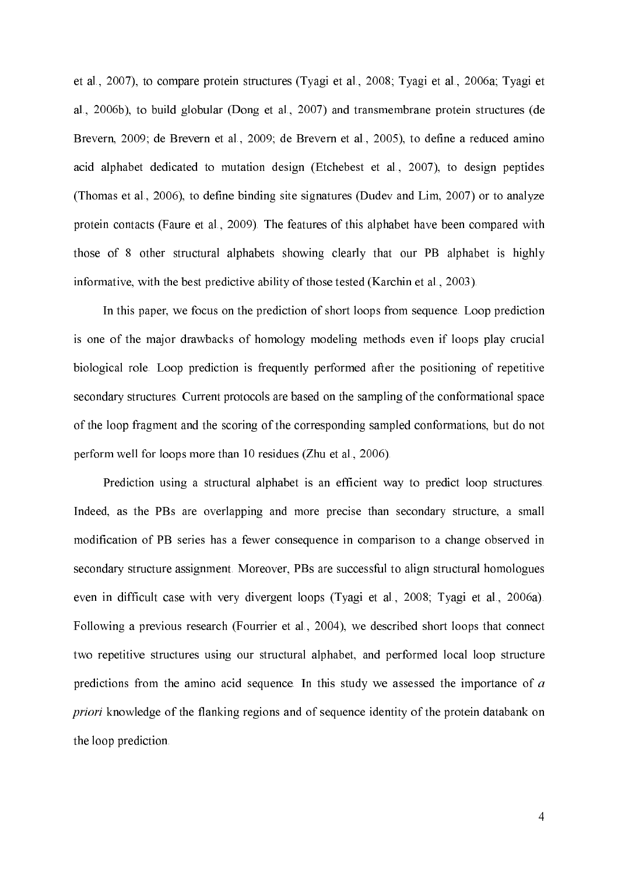et al., 2007), to compare protein structures (Tyagi et al., 2008; Tyagi et al., 2006a; Tyagi et al., 2006b), to build globular (Dong et al., 2007) and transmembrane protein structures (de Brevern, 2009; de Brevern et al., 2009; de Brevern et al., 2005), to define a reduced amino acid alphabet dedicated to mutation design (Etchebest et al., 2007), to design peptides (Thomas et al., 2006), to define binding site signatures (Dudev and Lim, 2007) or to analyze protein contacts (Faure et al., 2009). The features of this alphabet have been compared with those of 8 other structural alphabets showing clearly that our PB alphabet is highly informative, with the best predictive ability of those tested (Karchin et al., 2003).

In this paper, we focus on the prediction of short loops from sequence. Loop prediction is one of the major drawbacks of homology modeling methods even if loops play crucial biological role. Loop prediction is frequently performed after the positioning of repetitive secondary structures. Current protocols are based on the sampling of the conformational space of the loop fragment and the scoring of the corresponding sampled conformations, but do not perform well for loops more than 10 residues (Zhu et al., 2006).

Prediction using a structural alphabet is an efficient way to predict loop structures. Indeed, as the PBs are overlapping and more precise than secondary structure, a small modification of PB series has a fewer consequence in comparison to a change observed in secondary structure assignment. Moreover, PBs are successful to align structural homologues even in difficult case with very divergent loops (Tyagi et al., 2008; Tyagi et al., 2006a). Following a previous research (Fourrier et al., 2004), we described short loops that connect two repetitive structures using our structural alphabet, and performed local loop structure predictions from the amino acid sequence. In this study we assessed the importance of  $a$ priori knowledge of the flanking regions and of sequence identity of the protein databank on the loop prediction.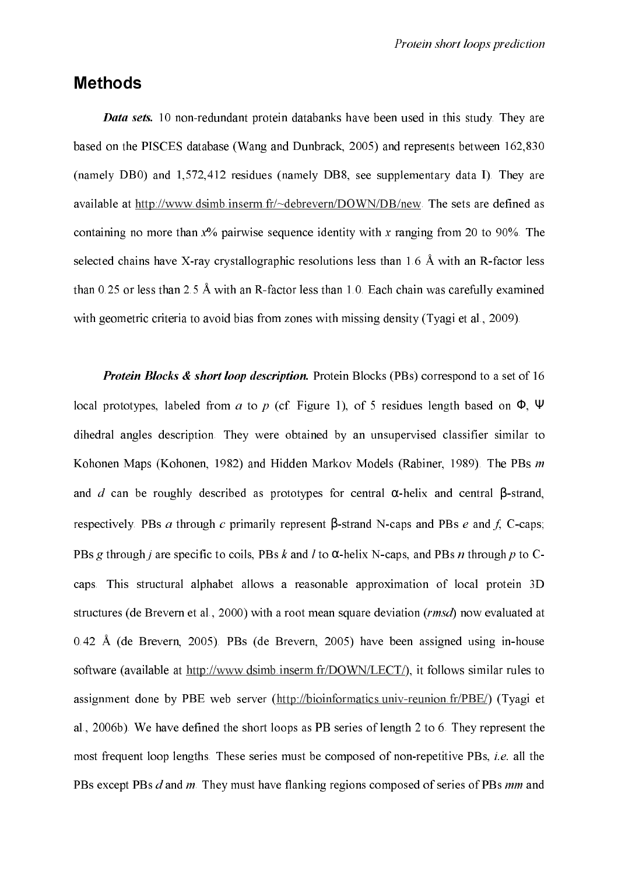#### Methods

Data sets. 10 non-redundant protein databanks have been used in this study. They are based on the PISCES database (Wang and Dunbrack, 2005) and represents between 162,830 (namely DB0) and 1,572,412 residues (namely DB8, see supplementary data I). They are available at http://www.dsimb.inserm.fr/~debrevern/DOWN/DB/new. The sets are defined as containing no more than  $x\%$  pairwise sequence identity with x ranging from 20 to 90%. The selected chains have X-ray crystallographic resolutions less than  $1.6 \text{ Å}$  with an R-factor less than  $0.25$  or less than 2.5 Å with an R-factor less than 1.0. Each chain was carefully examined with geometric criteria to avoid bias from zones with missing density (Tyagi et al., 2009).

Protein Blocks & short loop description. Protein Blocks (PBs) correspond to a set of 16 local prototypes, labeled from *a* to *p* (cf. Figure 1), of 5 residues length based on  $\Phi$ ,  $\Psi$ dihedral angles description. They were obtained by an unsupervised classifier similar to Kohonen Maps (Kohonen, 1982) and Hidden Markov Models (Rabiner, 1989). The PBs m and *d* can be roughly described as prototypes for central  $\alpha$ -helix and central β-strand, respectively. PBs *a* through *c* primarily represent β-strand N-caps and PBs *e* and *f*, C-caps; PBs g through *i* are specific to coils, PBs *k* and *l* to  $\alpha$ -helix N-caps, and PBs *n* through *p* to Ccaps. This structural alphabet allows a reasonable approximation of local protein 3D structures (de Brevern et al., 2000) with a root mean square deviation ( $\mathit{rmsd}$ ) now evaluated at 0.42 Å (de Brevern, 2005). PBs (de Brevern, 2005) have been assigned using in+house software (available at http://www.dsimb.inserm.fr/DOWN/LECT/), it follows similar rules to assignment done by PBE web server (http://bioinformatics.univ-reunion.fr/PBE/) (Tyagi et al., 2006b). We have defined the short loops as PB series of length 2 to 6. They represent the most frequent loop lengths. These series must be composed of non-repetitive PBs, *i.e.* all the PBs except PBs  $d$  and  $m$ . They must have flanking regions composed of series of PBs  $mm$  and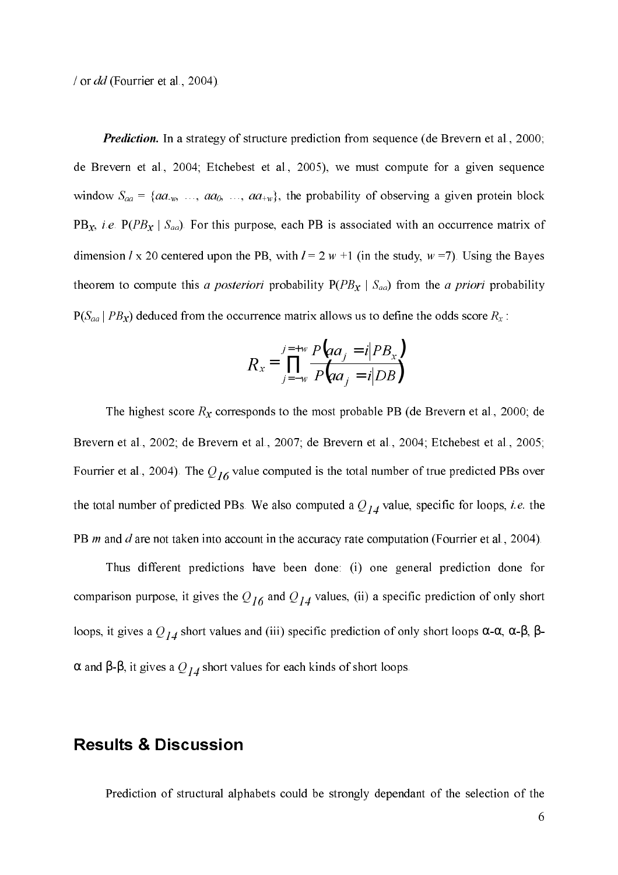/ or  $dd$  (Fourrier et al., 2004).

Prediction. In a strategy of structure prediction from sequence (de Brevern et al., 2000; de Brevern et al., 2004; Etchebest et al., 2005), we must compute for a given sequence window  $S_{aa} = \{aa_{-w}, \ldots, aa_0, \ldots, aa_{+w}\},$  the probability of observing a given protein block PB<sub>x</sub>, *i.e.* P( $PB<sub>x</sub>$  |  $S<sub>aa</sub>$ ). For this purpose, each PB is associated with an occurrence matrix of dimension *l* x 20 centered upon the PB, with  $l = 2 w +1$  (in the study,  $w = 7$ ). Using the Bayes theorem to compute this a posteriori probability  $P(PB_X | S_{aa})$  from the a priori probability  $P(S_{aa} | PB_X)$  deduced from the occurrence matrix allows us to define the odds score  $R_x$ :

$$
R_x = \prod_{j=-w}^{j=+w} \frac{P\left(a a_j = i | PB_x\right)}{P\left(a a_j = i | DB\right)}
$$

The highest score  $R_x$  corresponds to the most probable PB (de Brevern et al., 2000; de Brevern et al., 2002; de Brevern et al., 2007; de Brevern et al., 2004; Etchebest et al., 2005; Fourrier et al., 2004). The  $Q_{16}$  value computed is the total number of true predicted PBs over the total number of predicted PBs. We also computed a  $Q_{14}$  value, specific for loops, *i.e.* the PB  $m$  and  $d$  are not taken into account in the accuracy rate computation (Fourrier et al., 2004).

Thus different predictions have been done: (i) one general prediction done for comparison purpose, it gives the  $Q_{16}$  and  $Q_{14}$  values, (ii) a specific prediction of only short loops, it gives a  $Q_{14}$  short values and (iii) specific prediction of only short loops α-α, α-β, β- $\alpha$  and β-β, it gives a  $Q_{14}$  short values for each kinds of short loops.

#### **Results & Discussion**

Prediction of structural alphabets could be strongly dependant of the selection of the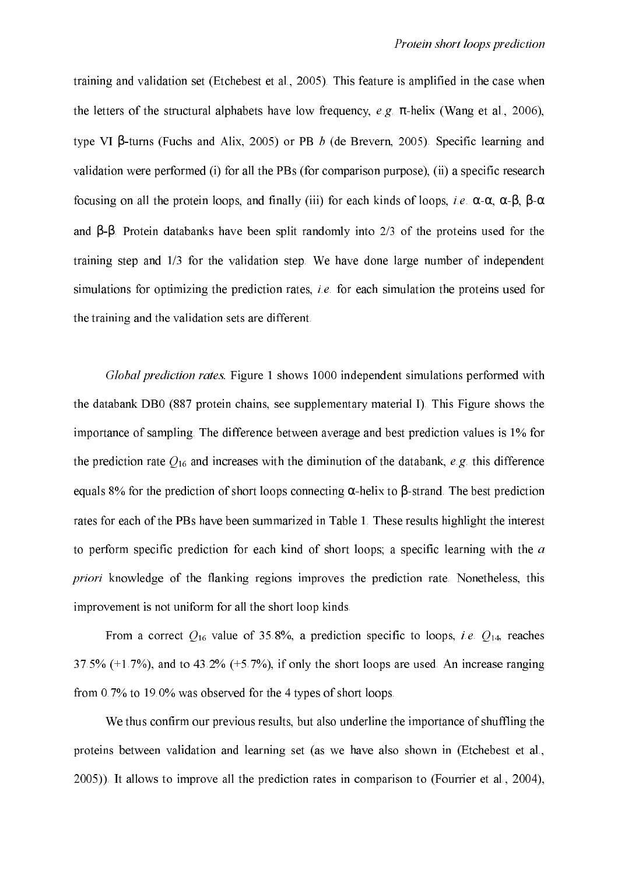training and validation set (Etchebest et al., 2005). This feature is amplified in the case when the letters of the structural alphabets have low frequency,  $e.g. \pi$ -helix (Wang et al., 2006), type VI β-turns (Fuchs and Alix, 2005) or PB b (de Brevern, 2005). Specific learning and validation were performed (i) for all the PBs (for comparison purpose), (ii) a specific research focusing on all the protein loops, and finally (iii) for each kinds of loops, *i.e.* α-α, α-β, β-α and β+β. Protein databanks have been split randomly into 2/3 of the proteins used for the training step and 1/3 for the validation step. We have done large number of independent simulations for optimizing the prediction rates, *i.e.* for each simulation the proteins used for the training and the validation sets are different.

Global prediction rates. Figure 1 shows 1000 independent simulations performed with the databank DB0 (887 protein chains, see supplementary material I). This Figure shows the importance of sampling. The difference between average and best prediction values is 1% for the prediction rate  $Q_{16}$  and increases with the diminution of the databank, e.g. this difference equals 8% for the prediction of short loops connecting  $\alpha$ -helix to  $\beta$ -strand. The best prediction rates for each of the PBs have been summarized in Table 1. These results highlight the interest to perform specific prediction for each kind of short loops; a specific learning with the  $a$ priori knowledge of the flanking regions improves the prediction rate. Nonetheless, this improvement is not uniform for all the short loop kinds.

From a correct  $Q_{16}$  value of 35.8%, a prediction specific to loops, *i.e.*  $Q_{14}$ , reaches 37.5% (+1.7%), and to 43.2% (+5.7%), if only the short loops are used. An increase ranging from 0.7% to 19.0% was observed for the 4 types of short loops.

We thus confirm our previous results, but also underline the importance of shuffling the proteins between validation and learning set (as we have also shown in (Etchebest et al., 2005)). It allows to improve all the prediction rates in comparison to (Fourrier et al., 2004),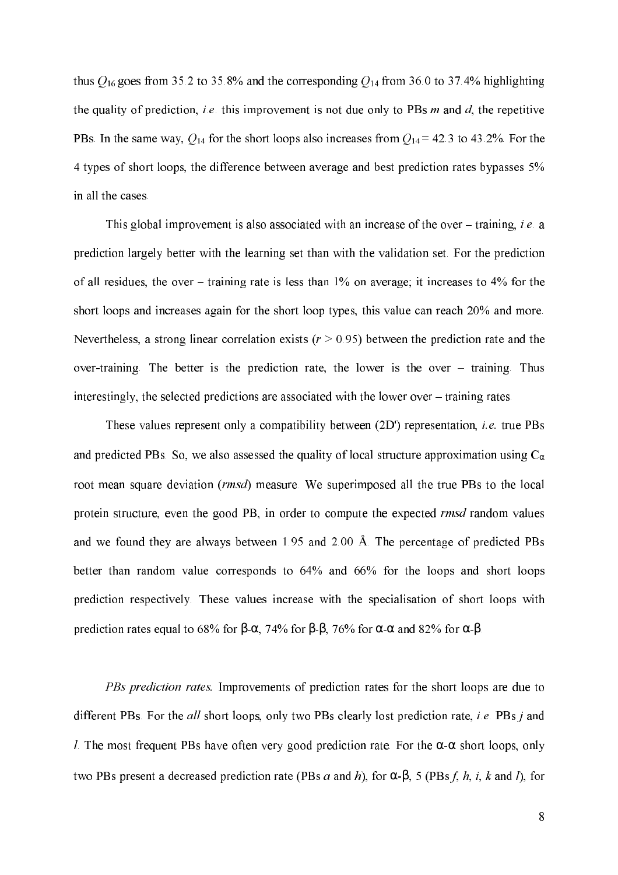thus  $Q_{16}$  goes from 35.2 to 35.8% and the corresponding  $Q_{14}$  from 36.0 to 37.4% highlighting the quality of prediction, *i.e.* this improvement is not due only to PBs  $m$  and  $d$ , the repetitive PBs. In the same way,  $Q_{14}$  for the short loops also increases from  $Q_{14}$  = 42.3 to 43.2%. For the 4 types of short loops, the difference between average and best prediction rates bypasses 5% in all the cases.

This global improvement is also associated with an increase of the over – training, *i.e.* a prediction largely better with the learning set than with the validation set. For the prediction of all residues, the over – training rate is less than 1% on average; it increases to 4% for the short loops and increases again for the short loop types, this value can reach 20% and more. Nevertheless, a strong linear correlation exists ( $r > 0.95$ ) between the prediction rate and the over-training. The better is the prediction rate, the lower is the over  $-$  training. Thus interestingly, the selected predictions are associated with the lower over – training rates.

These values represent only a compatibility between  $(2D')$  representation, *i.e.* true PBs and predicted PBs. So, we also assessed the quality of local structure approximation using  $C_{\alpha}$ root mean square deviation (rmsd) measure. We superimposed all the true PBs to the local protein structure, even the good PB, in order to compute the expected *rmsd* random values and we found they are always between 1.95 and 2.00 Å. The percentage of predicted PBs better than random value corresponds to 64% and 66% for the loops and short loops prediction respectively. These values increase with the specialisation of short loops with prediction rates equal to 68% for β- $\alpha$ , 74% for β-β, 76% for  $\alpha$ - $\alpha$  and 82% for  $\alpha$ -β.

PBs prediction rates. Improvements of prediction rates for the short loops are due to different PBs. For the all short loops, only two PBs clearly lost prediction rate, *i.e.* PBs *j* and *l*. The most frequent PBs have often very good prediction rate. For the  $\alpha$ - $\alpha$  short loops, only two PBs present a decreased prediction rate (PBs  $a$  and  $h$ ), for  $\alpha$ - $\beta$ , 5 (PBs f, h, i, k and l), for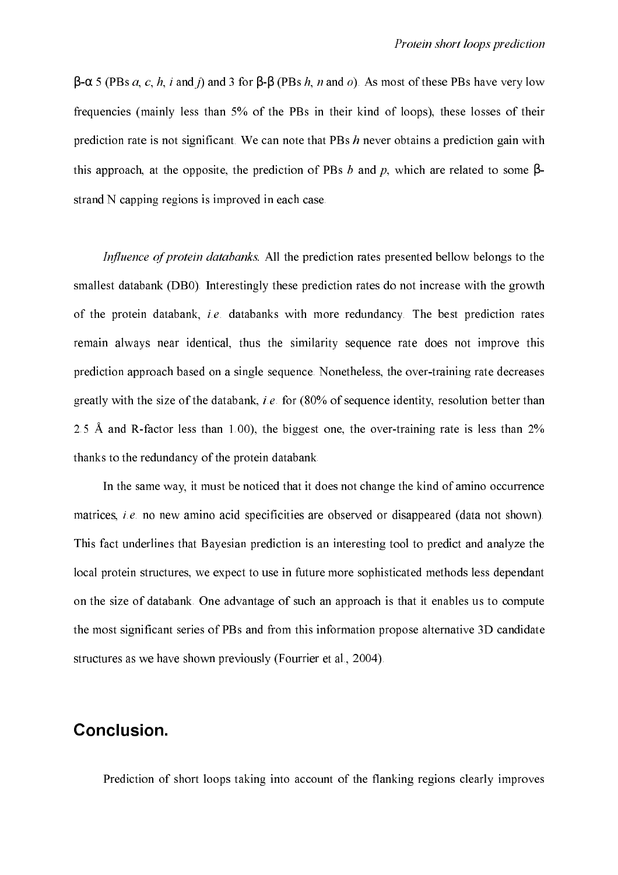$\beta$ -α 5 (PBs a, c, h, i and j) and 3 for  $\beta$ -β (PBs h, n and o). As most of these PBs have very low frequencies (mainly less than 5% of the PBs in their kind of loops), these losses of their prediction rate is not significant. We can note that PBs  $h$  never obtains a prediction gain with this approach, at the opposite, the prediction of PBs b and p, which are related to some  $\beta$ strand N capping regions is improved in each case.

Influence of protein databanks. All the prediction rates presented bellow belongs to the smallest databank (DB0). Interestingly these prediction rates do not increase with the growth of the protein databank, *i.e.* databanks with more redundancy. The best prediction rates remain always near identical, thus the similarity sequence rate does not improve this prediction approach based on a single sequence. Nonetheless, the over-training rate decreases greatly with the size of the databank, *i.e.* for  $(80\%$  of sequence identity, resolution better than 2.5 Å and R-factor less than 1.00), the biggest one, the over-training rate is less than  $2\%$ thanks to the redundancy of the protein databank.

In the same way, it must be noticed that it does not change the kind of amino occurrence matrices, *i.e.* no new amino acid specificities are observed or disappeared (data not shown). This fact underlines that Bayesian prediction is an interesting tool to predict and analyze the local protein structures, we expect to use in future more sophisticated methods less dependant on the size of databank. One advantage of such an approach is that it enables us to compute the most significant series of PBs and from this information propose alternative 3D candidate structures as we have shown previously (Fourrier et al., 2004).

#### **Conclusion.**

Prediction of short loops taking into account of the flanking regions clearly improves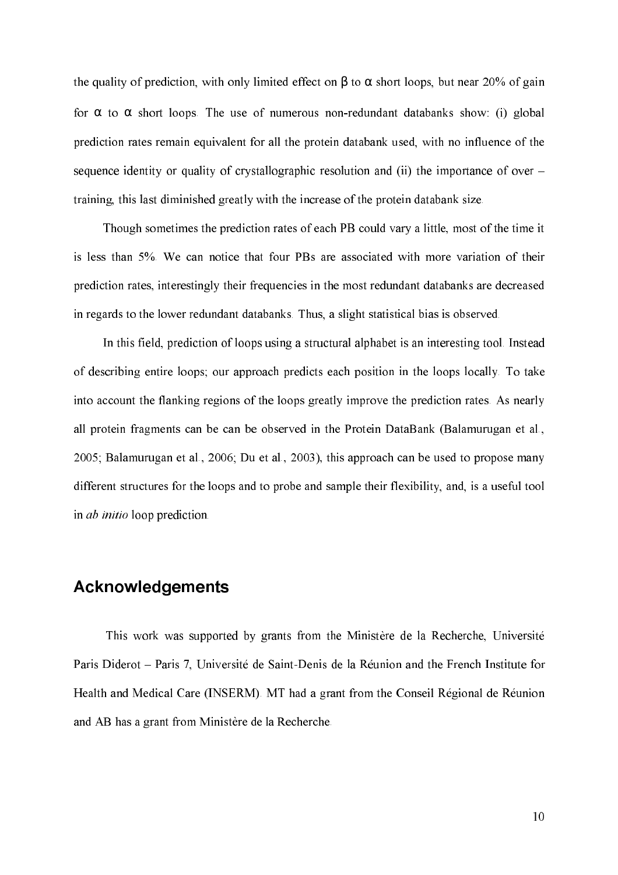the quality of prediction, with only limited effect on  $\beta$  to  $\alpha$  short loops, but near 20% of gain for  $\alpha$  to  $\alpha$  short loops. The use of numerous non-redundant databanks show: (i) global prediction rates remain equivalent for all the protein databank used, with no influence of the sequence identity or quality of crystallographic resolution and (ii) the importance of over – training, this last diminished greatly with the increase of the protein databank size.

Though sometimes the prediction rates of each PB could vary a little, most of the time it is less than 5%. We can notice that four PBs are associated with more variation of their prediction rates, interestingly their frequencies in the most redundant databanks are decreased in regards to the lower redundant databanks. Thus, a slight statistical bias is observed.

In this field, prediction of loops using a structural alphabet is an interesting tool. Instead of describing entire loops; our approach predicts each position in the loops locally. To take into account the flanking regions of the loops greatly improve the prediction rates. As nearly all protein fragments can be can be observed in the Protein DataBank (Balamurugan et al., 2005; Balamurugan et al., 2006; Du et al., 2003), this approach can be used to propose many different structures for the loops and to probe and sample their flexibility, and, is a useful tool in  $ab$  initio loop prediction.

#### Acknowledgements

This work was supported by grants from the Ministère de la Recherche, Université Paris Diderot – Paris 7, Université de Saint-Denis de la Réunion and the French Institute for Health and Medical Care (INSERM). MT had a grant from the Conseil Régional de Réunion and AB has a grant from Ministère de la Recherche.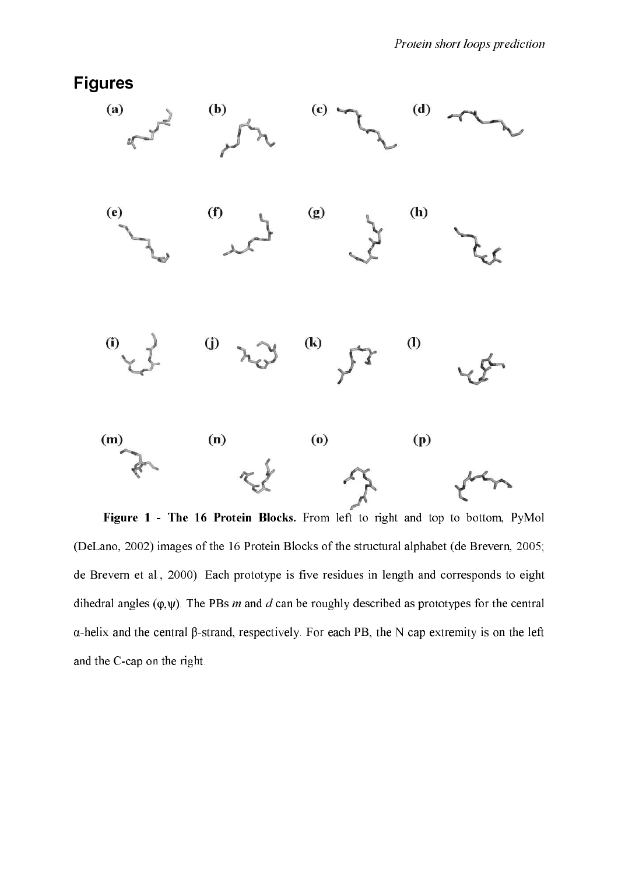

Figure 1 - The 16 Protein Blocks. From left to right and top to bottom, PyMol (DeLano, 2002) images of the 16 Protein Blocks of the structural alphabet (de Brevern, 2005; de Brevern et al., 2000). Each prototype is five residues in length and corresponds to eight dihedral angles ( $\varphi, \psi$ ). The PBs *m* and *d* can be roughly described as prototypes for the central α+helix and the central β+strand, respectively. For each PB, the N cap extremity is on the left and the C-cap on the right.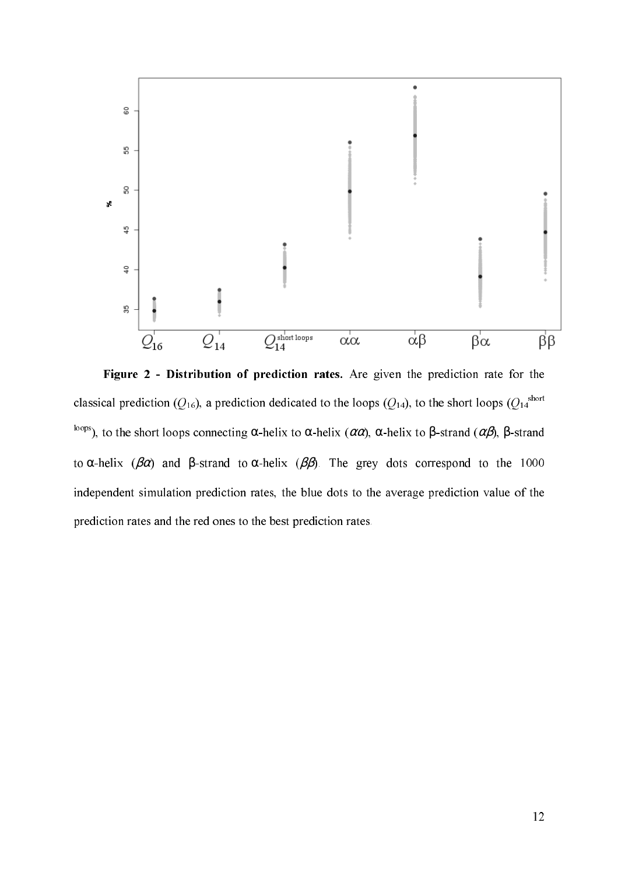

Figure 2 - Distribution of prediction rates. Are given the prediction rate for the classical prediction ( $Q_{16}$ ), a prediction dedicated to the loops ( $Q_{14}$ ), to the short loops ( $Q_{14}$ <sup>short</sup> <sup>loops</sup>), to the short loops connecting  $\alpha$ -helix to  $\alpha$ -helix ( $\alpha\alpha$ ),  $\alpha$ -helix to  $\beta$ -strand ( $\alpha\beta$ ),  $\beta$ -strand to  $\alpha$ -helix ( $\beta \alpha$ ) and  $\beta$ -strand to  $\alpha$ -helix ( $\beta \beta$ ). The grey dots correspond to the 1000 independent simulation prediction rates, the blue dots to the average prediction value of the prediction rates and the red ones to the best prediction rates.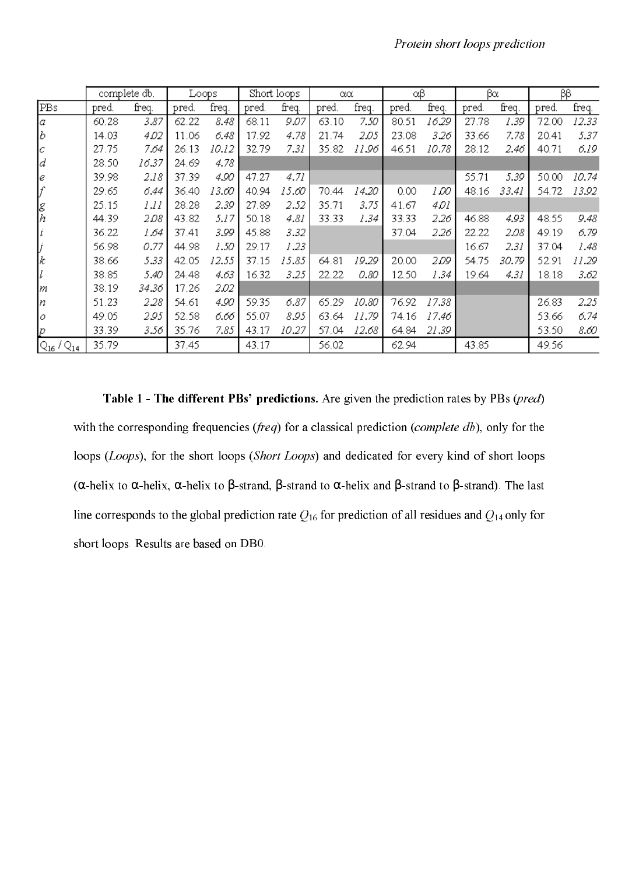|                             | complete db. |       | Loops |       | Short loops |       | $\alpha\alpha$ |       | αβ    |       | βα    |       | ββ    |       |
|-----------------------------|--------------|-------|-------|-------|-------------|-------|----------------|-------|-------|-------|-------|-------|-------|-------|
| PBs                         | pred.        | freq. | pred. | freq. | pred.       | freq. | pred.          | freq. | pred. | freq. | pred. | freq. | pred. | freq. |
| Ιa                          | 60.28        | 3.87  | 62.22 | 8.48  | 68.11       | 9.07  | 63.10          | 7.50  | 80.51 | 16.29 | 27.78 | 1.39  | 72.00 | 12.33 |
| b                           | 14.03        | 4.O2  | 11.06 | 6.48  | 17.92       | 4.78  | 21.74          | 2.05  | 23.08 | 3.26  | 33.66 | 7.78  | 20.41 | 5.37  |
| Iс                          | 27.75        | 7.64  | 26.13 | 10.12 | 32.79       | 7.31  | 35.82          | 11.96 | 46.51 | 10.78 | 28.12 | 2.46  | 40.71 | 6.19  |
| Ιd                          | 28.50        | 16.37 | 24.69 | 4.78  |             |       |                |       |       |       |       |       |       |       |
| I€                          | 39.98        | 2.18  | 37.39 | 4.90  | 47.27       | 4.71  |                |       |       |       | 55.71 | 5.39  | 50.00 | 10.74 |
|                             | 29.65        | 6.44  | 36.40 | 13.60 | 40.94       | 15.60 | 70.44          | 14.20 | 0.00  | 1 DO  | 48.16 | 33.41 | 54.72 | 13.92 |
| $\frac{g}{h}$               | 25.15        | 1.11  | 28.28 | 2.39  | 27.89       | 2.52  | 35.71          | 3.75  | 41.67 | 4 D I |       |       |       |       |
|                             | 44.39        | 2.08  | 43.82 | 5.17  | 50.18       | 4.81  | 33.33          | 1.34  | 33.33 | 2.26  | 46.88 | 4.93  | 48.55 | 9.48  |
|                             | 36.22        | 1.64  | 37.41 | 3.99  | 45.88       | 3.32  |                |       | 37.04 | 2.26  | 22.22 | 2.08  | 49.19 | 6.79  |
|                             | 56.98        | 0.77  | 44.98 | 1.50  | 29.17       | 1.23  |                |       |       |       | 16.67 | 2.31  | 37.04 | 1.48  |
| k                           | 38.66        | 5.33  | 42.05 | 12.55 | 37.15       | 15.85 | 64.81          | 19.29 | 20.00 | 2.09  | 54.75 | 30.79 | 52.91 | 11.29 |
|                             | 38.85        | 5.40  | 24.48 | 4.63  | 16.32       | 3.25  | 22.22          | 0.80  | 12.50 | 1.34  | 19.64 | 4.31  | 18.18 | 3.62  |
| m                           | 38.19        | 34.36 | 17.26 | 2.02  |             |       |                |       |       |       |       |       |       |       |
| n                           | 51.23        | 2.28  | 54.61 | 4.90  | 59.35       | 6.87  | 65.29          | 10.80 | 76.92 | 17.38 |       |       | 26.83 | 2.25  |
| o                           | 49.05        | 2.95  | 52.58 | 6.66  | 55.07       | 8.95  | 63.64          | 11.79 | 74.16 | 17.46 |       |       | 53.66 | 6.74  |
| D                           | 33.39        | 3.56  | 35.76 | 7.85  | 43.17       | 10.27 | 57.04          | 12.68 | 64.84 | 21.39 |       |       | 53.50 | 8.60  |
| $\rm Q_{16}$ / $\rm Q_{14}$ | 35.79        |       | 37.45 |       | 43.17       |       | 56.02          |       | 62.94 |       | 43.85 |       | 49.56 |       |

Table 1 - The different PBs' predictions. Are given the prediction rates by PBs (pred) with the corresponding frequencies (*freq*) for a classical prediction (*complete db*), only for the loops (Loops), for the short loops (Short Loops) and dedicated for every kind of short loops ( $\alpha$ -helix to  $\alpha$ -helix,  $\alpha$ -helix to  $\beta$ -strand,  $\beta$ -strand to  $\alpha$ -helix and  $\beta$ -strand to  $\beta$ -strand). The last line corresponds to the global prediction rate  $Q_{16}$  for prediction of all residues and  $Q_{14}$  only for short loops. Results are based on DB0.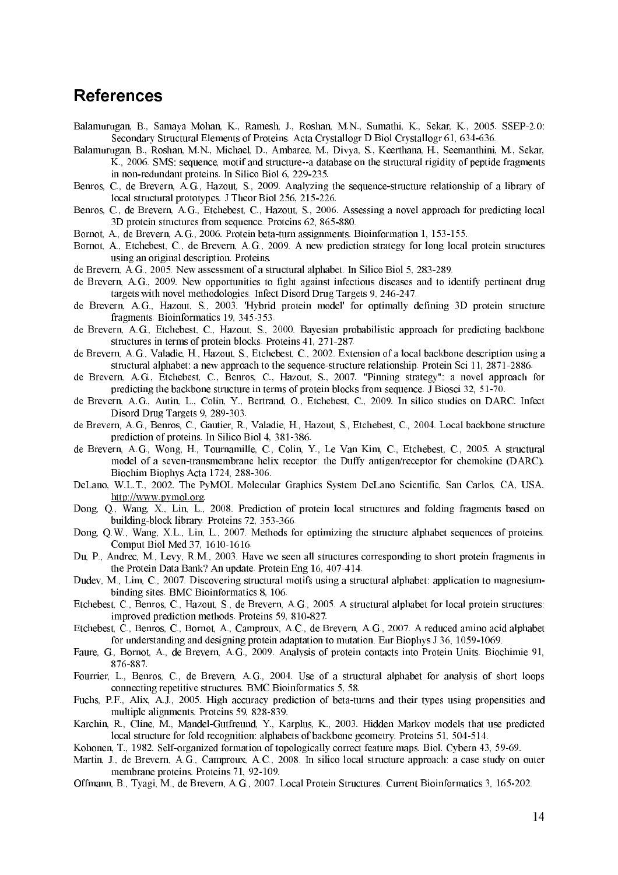#### **References**

- Balamurugan, B., Samaya Mohan, K., Ramesh, J., Roshan, M.N., Sumathi, K., Sekar, K., 2005. SSEP-2.0: Secondary Structural Elements of Proteins. Acta Crystallogr D Biol Crystallogr 61, 634-636.
- Balamurugan, B., Roshan, M.N., Michael, D., Ambaree, M., Divya, S., Keerthana, H., Seemanthini, M., Sekar, K., 2006. SMS: sequence, motif and structure--a database on the structural rigidity of peptide fragments in non-redundant proteins. In Silico Biol 6, 229-235.
- C., de Brevern, A.G., Hazout, S., 2009. Analyzing the sequence-structure relationship of a library of Benros, local structural prototypes. J Theor Biol 256, 215-226.
- Benros, C., de Brevern, A.G., Etchebest, C., Hazout, S., 2006. Assessing a novel approach for predicting local 3D protein structures from sequence. Proteins 62, 865-880.
- Bornot, A., de Brevern, A.G., 2006. Protein beta-turn assignments. Bioinformation 1, 153-155.
- Bornot, A., Etchebest, C., de Brevern, A.G., 2009. A new prediction strategy for long local protein structures using an original description. Proteins.
- de Brevern, A.G., 2005. New assessment of a structural alphabet. In Silico Biol 5, 283-289.
- de Brevern, A.G., 2009. New opportunities to fight against infectious diseases and to identify pertinent drug targets with novel methodologies. Infect Disord Drug Targets 9, 246-247.
- de Brevern, A.G., Hazout, S., 2003. 'Hybrid protein model' for optimally defining 3D protein structure fragments. Bioinformatics 19, 345-353.
- de Brevern, A.G., Etchebest, C., Hazout, S., 2000. Bayesian probabilistic approach for predicting backbone structures in terms of protein blocks. Proteins  $41, 271-287$ .
- de Brevern, A.G., Valadie, H., Hazout, S., Etchebest, C., 2002. Extension of a local backbone description using a structural alphabet: a new approach to the sequence-structure relationship. Protein Sci 11, 2871-2886.
- de Brevern, A.G., Etchebest, C., Benros, C., Hazout, S., 2007. "Pinning strategy": a novel approach for predicting the backbone structure in terms of protein blocks from sequence. J Biosci 32, 51-70.
- de Brevern, A.G., Autin, L., Colin, Y., Bertrand, O., Etchebest, C., 2009. In silico studies on DARC. Infect Disord Drug Targets 9, 289-303.
- de Brevern, A.G., Benros, C., Gautier, R., Valadie, H., Hazout, S., Etchebest, C., 2004. Local backbone structure prediction of proteins. In Silico Biol 4, 381-386.
- de Brevern, A.G., Wong, H., Tournamille, C., Colin, Y., Le Van Kim, C., Etchebest, C., 2005. A structural model of a seven-transmembrane helix receptor: the Duffy antigen/receptor for chemokine (DARC). Biochim Biophys Acta 1724, 288-306.
- DeLano, W.L.T., 2002. The PyMOL Molecular Graphics System DeLano Scientific. San Carlos, CA, USA. http://www.pymol.org.<br>Dong, Q., Wang, X., Lin, L., 2008. Prediction of protein local structures and folding fragments based on
- building-block library. Proteins 72, 353-366.
- Dong, Q.W., Wang, X.L., Lin, L., 2007. Methods for optimizing the structure alphabet sequences of proteins. Comput Biol Med 37, 1610-1616.
- Du, P., Andrec, M., Levy, R.M., 2003. Have we seen all structures corresponding to short protein fragments in the Protein Data Bank? An update. Protein Eng 16, 407-414.
- Dudev, M., Lim, C., 2007. Discovering structural motifs using a structural alphabet: application to magnesiumbinding sites. BMC Bioinformatics 8, 106.
- Etchebest, C., Benros, C., Hazout, S., de Brevern, A.G., 2005. A structural alphabet for local protein structures: improved prediction methods. Proteins 59, 810-827.
- Etchebest, C., Benros, C., Bornot, A., Camproux, A.C., de Brevern, A.G., 2007. A reduced amino acid alphabet for understanding and designing protein adaptation to mutation. Eur Biophys J 36, 1059-1069.
- Faure, G., Bornot, A., de Brevern, A.G., 2009. Analysis of protein contacts into Protein Units. Biochimie 91, 876-887.
- Fourrier, L., Benros, C., de Brevern, A.G., 2004. Use of a structural alphabet for analysis of short loops connecting repetitive structures. BMC Bioinformatics 5, 58.
- Fuchs, P.F., Alix, A.J., 2005. High accuracy prediction of beta-turns and their types using propensities and multiple alignments. Proteins 59, 828-839.
- Karchin, R., Cline, M., Mandel-Gutfreund, Y., Karplus, K., 2003. Hidden Markov models that use predicted local structure for fold recognition: alphabets of backbone geometry. Proteins 51, 504-514.
- Kohonen, T., 1982. Self-organized formation of topologically correct feature maps. Biol. Cybern 43, 59-69.
- Martin, J., de Brevern, A.G., Camproux, A.C., 2008. In silico local structure approach: a case study on outer membrane proteins. Proteins 71, 92-109.
- Offmann, B., Tyagi, M., de Brevern, A.G., 2007. Local Protein Structures. Current Bioinformatics 3, 165-202.